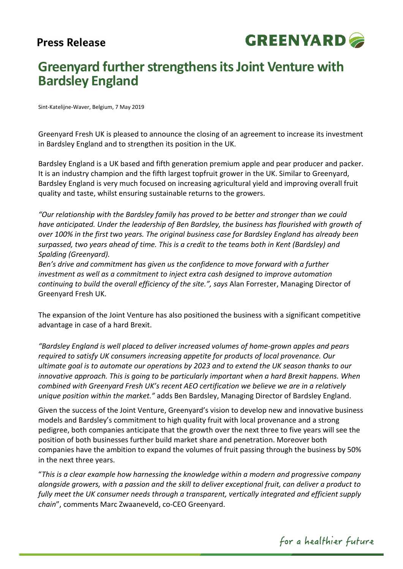# **Press Release**



# **Greenyard further strengthens its Joint Venture with Bardsley England**

Sint-Katelijne-Waver, Belgium, 7 May 2019

Greenyard Fresh UK is pleased to announce the closing of an agreement to increase its investment in Bardsley England and to strengthen its position in the UK.

Bardsley England is a UK based and fifth generation premium apple and pear producer and packer. It is an industry champion and the fifth largest topfruit grower in the UK. Similar to Greenyard, Bardsley England is very much focused on increasing agricultural yield and improving overall fruit quality and taste, whilst ensuring sustainable returns to the growers.

*"Our relationship with the Bardsley family has proved to be better and stronger than we could have anticipated. Under the leadership of Ben Bardsley, the business has flourished with growth of over 100% in the first two years. The original business case for Bardsley England has already been surpassed, two years ahead of time. This is a credit to the teams both in Kent (Bardsley) and Spalding (Greenyard).* 

*Ben's drive and commitment has given us the confidence to move forward with a further investment as well as a commitment to inject extra cash designed to improve automation continuing to build the overall efficiency of the site.", says* Alan Forrester, Managing Director of Greenyard Fresh UK.

The expansion of the Joint Venture has also positioned the business with a significant competitive advantage in case of a hard Brexit.

*"Bardsley England is well placed to deliver increased volumes of home-grown apples and pears required to satisfy UK consumers increasing appetite for products of local provenance. Our ultimate goal is to automate our operations by 2023 and to extend the UK season thanks to our innovative approach. This is going to be particularly important when a hard Brexit happens. When combined with Greenyard Fresh UK's recent AEO certification we believe we are in a relatively unique position within the market."* adds Ben Bardsley, Managing Director of Bardsley England.

Given the success of the Joint Venture, Greenyard's vision to develop new and innovative business models and Bardsley's commitment to high quality fruit with local provenance and a strong pedigree, both companies anticipate that the growth over the next three to five years will see the position of both businesses further build market share and penetration. Moreover both companies have the ambition to expand the volumes of fruit passing through the business by 50% in the next three years.

"*This is a clear example how harnessing the knowledge within a modern and progressive company alongside growers, with a passion and the skill to deliver exceptional fruit, can deliver a product to fully meet the UK consumer needs through a transparent, vertically integrated and efficient supply chain*", comments Marc Zwaaneveld, co-CEO Greenyard.

for a healthier future